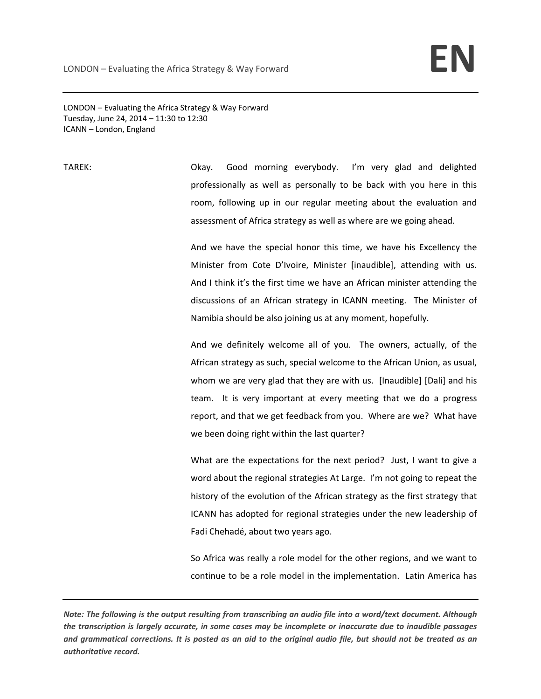LONDON – Evaluating the Africa Strategy & Way Forward Tuesday, June 24, 2014 – 11:30 to 12:30 ICANN – London, England

TAREK: Okay. Good morning everybody. I'm very glad and delighted professionally as well as personally to be back with you here in this room, following up in our regular meeting about the evaluation and assessment of Africa strategy as well as where are we going ahead.

> And we have the special honor this time, we have his Excellency the Minister from Cote D'Ivoire, Minister [inaudible], attending with us. And I think it's the first time we have an African minister attending the discussions of an African strategy in ICANN meeting. The Minister of Namibia should be also joining us at any moment, hopefully.

> And we definitely welcome all of you. The owners, actually, of the African strategy as such, special welcome to the African Union, as usual, whom we are very glad that they are with us. [Inaudible] [Dali] and his team. It is very important at every meeting that we do a progress report, and that we get feedback from you. Where are we? What have we been doing right within the last quarter?

> What are the expectations for the next period? Just, I want to give a word about the regional strategies At Large. I'm not going to repeat the history of the evolution of the African strategy as the first strategy that ICANN has adopted for regional strategies under the new leadership of Fadi Chehadé, about two years ago.

> So Africa was really a role model for the other regions, and we want to continue to be a role model in the implementation. Latin America has

Note: The following is the output resulting from transcribing an audio file into a word/text document. Although the transcription is largely accurate, in some cases may be incomplete or inaccurate due to inaudible passages and grammatical corrections. It is posted as an aid to the original audio file, but should not be treated as an *authoritative record.*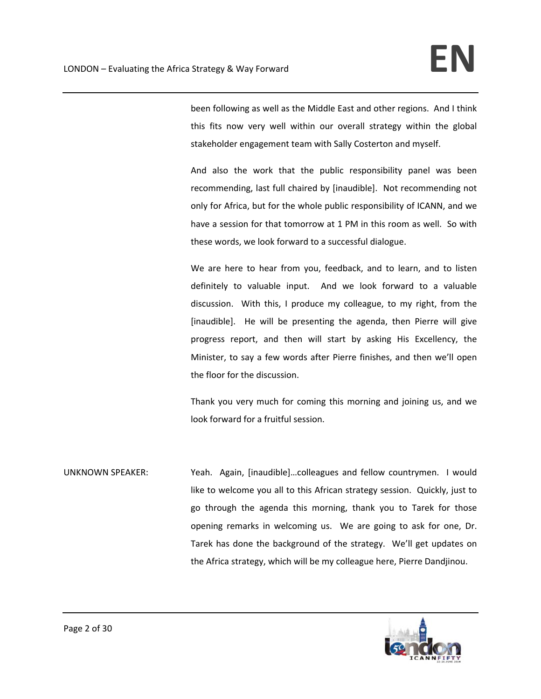been following as well as the Middle East and other regions. And I think this fits now very well within our overall strategy within the global stakeholder engagement team with Sally Costerton and myself.

And also the work that the public responsibility panel was been recommending, last full chaired by [inaudible]. Not recommending not only for Africa, but for the whole public responsibility of ICANN, and we have a session for that tomorrow at 1 PM in this room as well. So with these words, we look forward to a successful dialogue.

We are here to hear from you, feedback, and to learn, and to listen definitely to valuable input. And we look forward to a valuable discussion. With this, I produce my colleague, to my right, from the [inaudible]. He will be presenting the agenda, then Pierre will give progress report, and then will start by asking His Excellency, the Minister, to say a few words after Pierre finishes, and then we'll open the floor for the discussion.

Thank you very much for coming this morning and joining us, and we look forward for a fruitful session.

UNKNOWN SPEAKER: Yeah. Again, [inaudible]...colleagues and fellow countrymen. I would like to welcome you all to this African strategy session. Quickly, just to go through the agenda this morning, thank you to Tarek for those opening remarks in welcoming us. We are going to ask for one, Dr. Tarek has done the background of the strategy. We'll get updates on the Africa strategy, which will be my colleague here, Pierre Dandjinou.

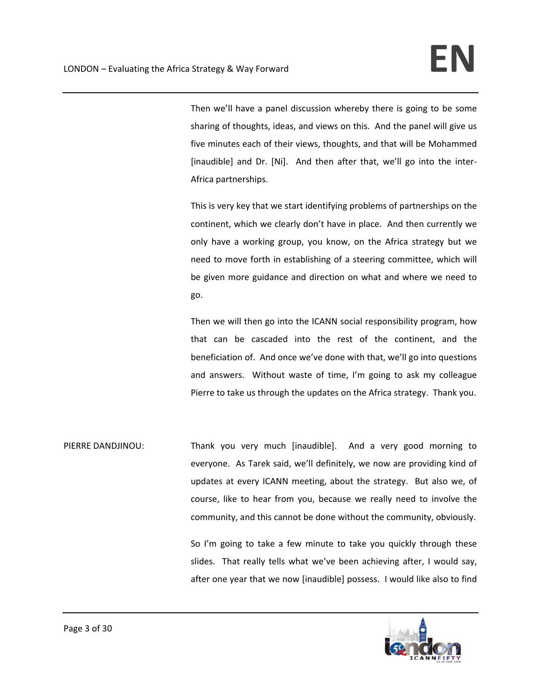Then we'll have a panel discussion whereby there is going to be some sharing of thoughts, ideas, and views on this. And the panel will give us five minutes each of their views, thoughts, and that will be Mohammed [inaudible] and Dr. [Ni]. And then after that, we'll go into the inter-Africa partnerships.

This is very key that we start identifying problems of partnerships on the continent, which we clearly don't have in place. And then currently we only have a working group, you know, on the Africa strategy but we need to move forth in establishing of a steering committee, which will be given more guidance and direction on what and where we need to go.

Then we will then go into the ICANN social responsibility program, how that can be cascaded into the rest of the continent, and the beneficiation of. And once we've done with that, we'll go into questions and answers. Without waste of time, I'm going to ask my colleague Pierre to take us through the updates on the Africa strategy. Thank you.

PIERRE DANDJINOU: Thank you very much [inaudible]. And a very good morning to everyone. As Tarek said, we'll definitely, we now are providing kind of updates at every ICANN meeting, about the strategy. But also we, of course, like to hear from you, because we really need to involve the community, and this cannot be done without the community, obviously.

> So I'm going to take a few minute to take you quickly through these slides. That really tells what we've been achieving after, I would say, after one year that we now [inaudible] possess. I would like also to find

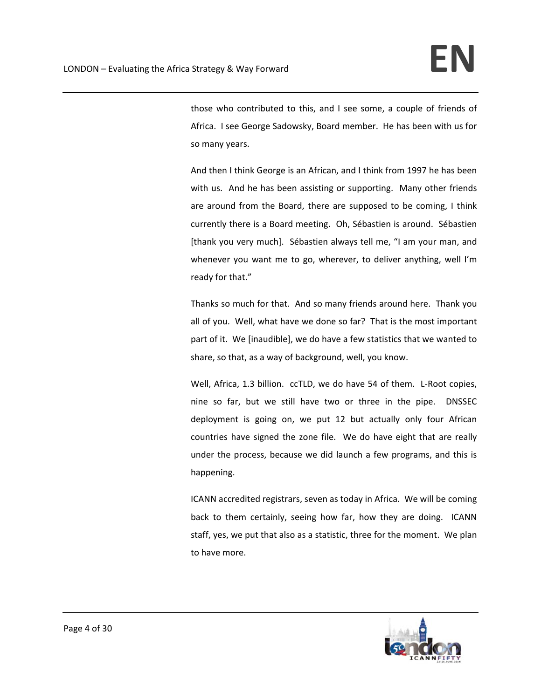those who contributed to this, and I see some, a couple of friends of Africa. I see George Sadowsky, Board member. He has been with us for so many years.

And then I think George is an African, and I think from 1997 he has been with us. And he has been assisting or supporting. Many other friends are around from the Board, there are supposed to be coming, I think currently there is a Board meeting. Oh, Sébastien is around. Sébastien [thank you very much]. Sébastien always tell me, "I am your man, and whenever you want me to go, wherever, to deliver anything, well I'm ready for that."

Thanks so much for that. And so many friends around here. Thank you all of you. Well, what have we done so far? That is the most important part of it. We [inaudible], we do have a few statistics that we wanted to share, so that, as a way of background, well, you know.

Well, Africa, 1.3 billion. ccTLD, we do have 54 of them. L-Root copies, nine so far, but we still have two or three in the pipe. DNSSEC deployment is going on, we put 12 but actually only four African countries have signed the zone file. We do have eight that are really under the process, because we did launch a few programs, and this is happening.

ICANN accredited registrars, seven as today in Africa. We will be coming back to them certainly, seeing how far, how they are doing. ICANN staff, yes, we put that also as a statistic, three for the moment. We plan to have more.

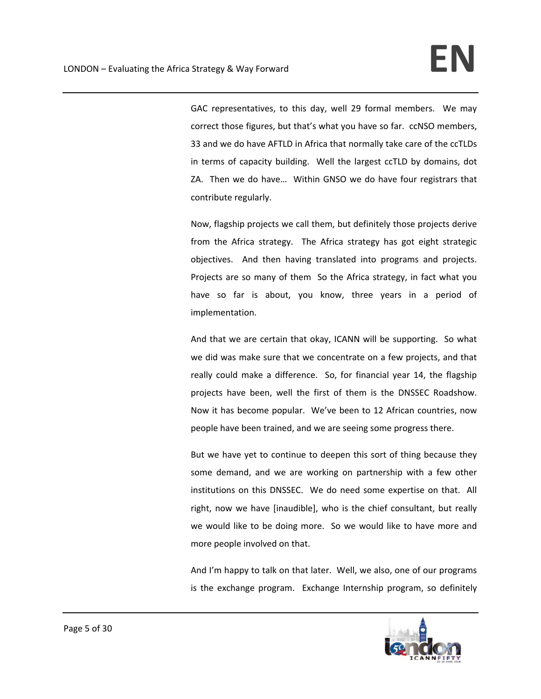GAC representatives, to this day, well 29 formal members. We may correct those figures, but that's what you have so far. ccNSO members, 33 and we do have AFTLD in Africa that normally take care of the ccTLDs in terms of capacity building. Well the largest ccTLD by domains, dot ZA. Then we do have… Within GNSO we do have four registrars that contribute regularly.

Now, flagship projects we call them, but definitely those projects derive from the Africa strategy. The Africa strategy has got eight strategic objectives. And then having translated into programs and projects. Projects are so many of them So the Africa strategy, in fact what you have so far is about, you know, three years in a period of implementation.

And that we are certain that okay, ICANN will be supporting. So what we did was make sure that we concentrate on a few projects, and that really could make a difference. So, for financial year 14, the flagship projects have been, well the first of them is the DNSSEC Roadshow. Now it has become popular. We've been to 12 African countries, now people have been trained, and we are seeing some progress there.

But we have yet to continue to deepen this sort of thing because they some demand, and we are working on partnership with a few other institutions on this DNSSEC. We do need some expertise on that. All right, now we have [inaudible], who is the chief consultant, but really we would like to be doing more. So we would like to have more and more people involved on that.

And I'm happy to talk on that later. Well, we also, one of our programs is the exchange program. Exchange Internship program, so definitely

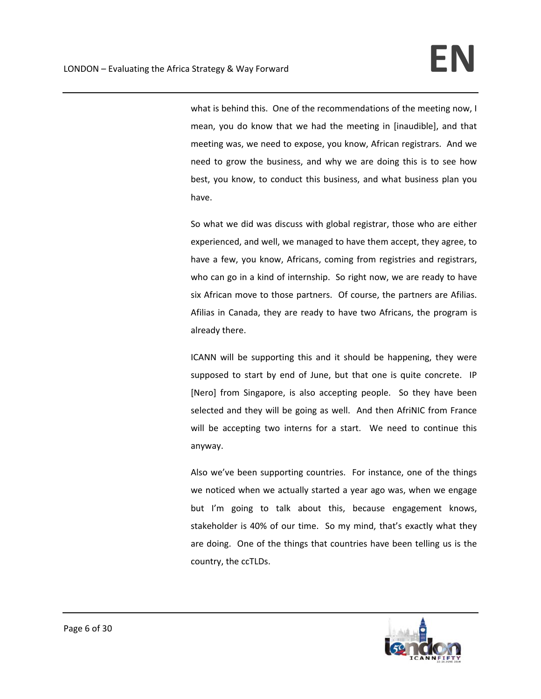what is behind this. One of the recommendations of the meeting now, I mean, you do know that we had the meeting in [inaudible], and that meeting was, we need to expose, you know, African registrars. And we need to grow the business, and why we are doing this is to see how best, you know, to conduct this business, and what business plan you have.

So what we did was discuss with global registrar, those who are either experienced, and well, we managed to have them accept, they agree, to have a few, you know, Africans, coming from registries and registrars, who can go in a kind of internship. So right now, we are ready to have six African move to those partners. Of course, the partners are Afilias. Afilias in Canada, they are ready to have two Africans, the program is already there.

ICANN will be supporting this and it should be happening, they were supposed to start by end of June, but that one is quite concrete. IP [Nero] from Singapore, is also accepting people. So they have been selected and they will be going as well. And then AfriNIC from France will be accepting two interns for a start. We need to continue this anyway.

Also we've been supporting countries. For instance, one of the things we noticed when we actually started a year ago was, when we engage but I'm going to talk about this, because engagement knows, stakeholder is 40% of our time. So my mind, that's exactly what they are doing. One of the things that countries have been telling us is the country, the ccTLDs.

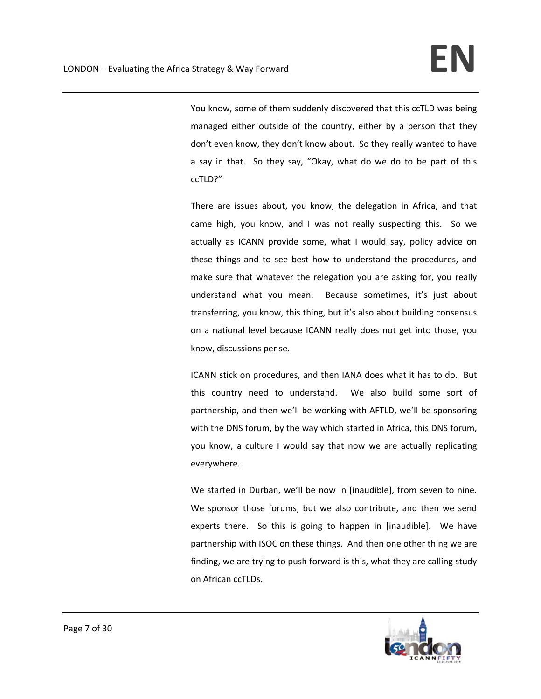You know, some of them suddenly discovered that this ccTLD was being managed either outside of the country, either by a person that they don't even know, they don't know about. So they really wanted to have a say in that. So they say, "Okay, what do we do to be part of this ccTLD?"

There are issues about, you know, the delegation in Africa, and that came high, you know, and I was not really suspecting this. So we actually as ICANN provide some, what I would say, policy advice on these things and to see best how to understand the procedures, and make sure that whatever the relegation you are asking for, you really understand what you mean. Because sometimes, it's just about transferring, you know, this thing, but it's also about building consensus on a national level because ICANN really does not get into those, you know, discussions per se.

ICANN stick on procedures, and then IANA does what it has to do. But this country need to understand. We also build some sort of partnership, and then we'll be working with AFTLD, we'll be sponsoring with the DNS forum, by the way which started in Africa, this DNS forum, you know, a culture I would say that now we are actually replicating everywhere.

We started in Durban, we'll be now in [inaudible], from seven to nine. We sponsor those forums, but we also contribute, and then we send experts there. So this is going to happen in [inaudible]. We have partnership with ISOC on these things. And then one other thing we are finding, we are trying to push forward is this, what they are calling study on African ccTLDs.

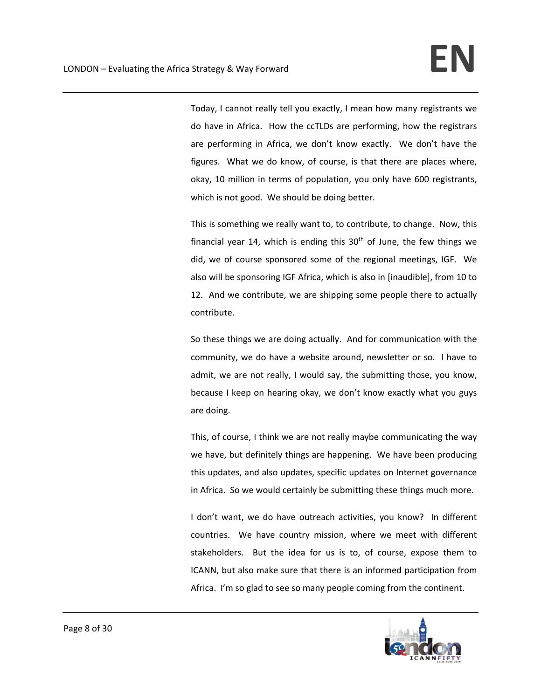Today, I cannot really tell you exactly, I mean how many registrants we do have in Africa. How the ccTLDs are performing, how the registrars are performing in Africa, we don't know exactly. We don't have the figures. What we do know, of course, is that there are places where, okay, 10 million in terms of population, you only have 600 registrants, which is not good. We should be doing better.

This is something we really want to, to contribute, to change. Now, this financial year 14, which is ending this  $30<sup>th</sup>$  of June, the few things we did, we of course sponsored some of the regional meetings, IGF. We also will be sponsoring IGF Africa, which is also in [inaudible], from 10 to 12. And we contribute, we are shipping some people there to actually contribute.

So these things we are doing actually. And for communication with the community, we do have a website around, newsletter or so. I have to admit, we are not really, I would say, the submitting those, you know, because I keep on hearing okay, we don't know exactly what you guys are doing.

This, of course, I think we are not really maybe communicating the way we have, but definitely things are happening. We have been producing this updates, and also updates, specific updates on Internet governance in Africa. So we would certainly be submitting these things much more.

I don't want, we do have outreach activities, you know? In different countries. We have country mission, where we meet with different stakeholders. But the idea for us is to, of course, expose them to ICANN, but also make sure that there is an informed participation from Africa. I'm so glad to see so many people coming from the continent.

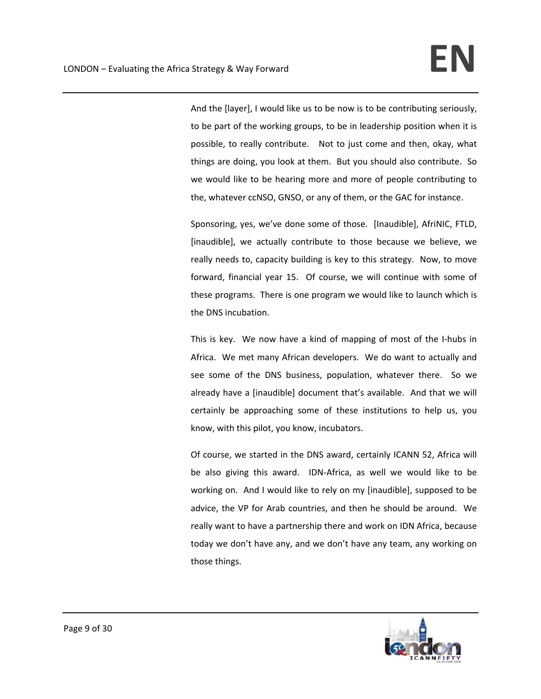And the [layer], I would like us to be now is to be contributing seriously, to be part of the working groups, to be in leadership position when it is possible, to really contribute. Not to just come and then, okay, what things are doing, you look at them. But you should also contribute. So we would like to be hearing more and more of people contributing to the, whatever ccNSO, GNSO, or any of them, or the GAC for instance.

Sponsoring, yes, we've done some of those. [Inaudible], AfriNIC, FTLD, [inaudible], we actually contribute to those because we believe, we really needs to, capacity building is key to this strategy. Now, to move forward, financial year 15. Of course, we will continue with some of these programs. There is one program we would like to launch which is the DNS incubation.

This is key. We now have a kind of mapping of most of the I‐hubs in Africa. We met many African developers. We do want to actually and see some of the DNS business, population, whatever there. So we already have a [inaudible] document that's available. And that we will certainly be approaching some of these institutions to help us, you know, with this pilot, you know, incubators.

Of course, we started in the DNS award, certainly ICANN 52, Africa will be also giving this award. IDN-Africa, as well we would like to be working on. And I would like to rely on my [inaudible], supposed to be advice, the VP for Arab countries, and then he should be around. We really want to have a partnership there and work on IDN Africa, because today we don't have any, and we don't have any team, any working on those things.

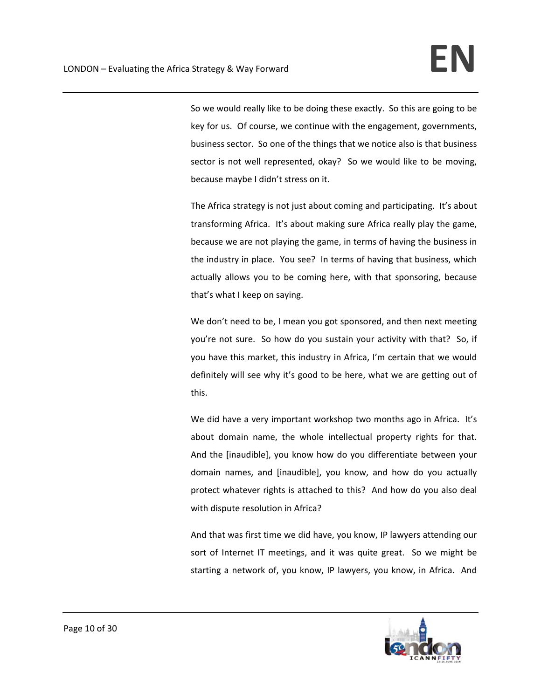So we would really like to be doing these exactly. So this are going to be key for us. Of course, we continue with the engagement, governments, business sector. So one of the things that we notice also is that business sector is not well represented, okay? So we would like to be moving, because maybe I didn't stress on it.

The Africa strategy is not just about coming and participating. It's about transforming Africa. It's about making sure Africa really play the game, because we are not playing the game, in terms of having the business in the industry in place. You see? In terms of having that business, which actually allows you to be coming here, with that sponsoring, because that's what I keep on saying.

We don't need to be, I mean you got sponsored, and then next meeting you're not sure. So how do you sustain your activity with that? So, if you have this market, this industry in Africa, I'm certain that we would definitely will see why it's good to be here, what we are getting out of this.

We did have a very important workshop two months ago in Africa. It's about domain name, the whole intellectual property rights for that. And the [inaudible], you know how do you differentiate between your domain names, and [inaudible], you know, and how do you actually protect whatever rights is attached to this? And how do you also deal with dispute resolution in Africa?

And that was first time we did have, you know, IP lawyers attending our sort of Internet IT meetings, and it was quite great. So we might be starting a network of, you know, IP lawyers, you know, in Africa. And

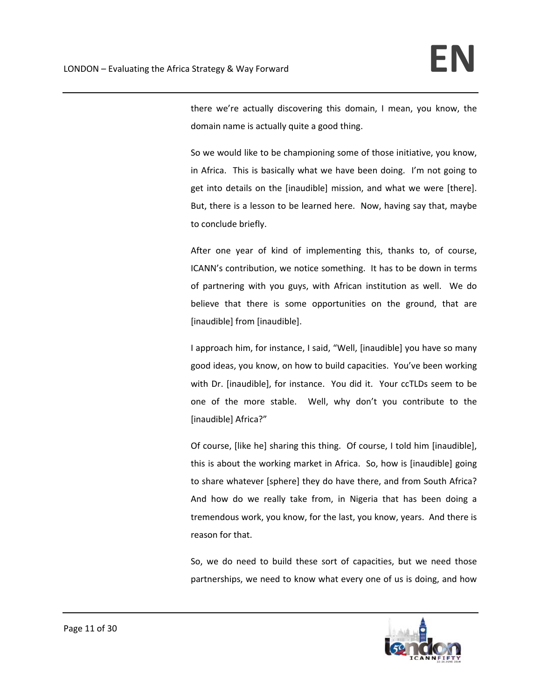there we're actually discovering this domain, I mean, you know, the domain name is actually quite a good thing.

So we would like to be championing some of those initiative, you know, in Africa. This is basically what we have been doing. I'm not going to get into details on the [inaudible] mission, and what we were [there]. But, there is a lesson to be learned here. Now, having say that, maybe to conclude briefly.

After one year of kind of implementing this, thanks to, of course, ICANN's contribution, we notice something. It has to be down in terms of partnering with you guys, with African institution as well. We do believe that there is some opportunities on the ground, that are [inaudible] from [inaudible].

I approach him, for instance, I said, "Well, [inaudible] you have so many good ideas, you know, on how to build capacities. You've been working with Dr. [inaudible], for instance. You did it. Your ccTLDs seem to be one of the more stable. Well, why don't you contribute to the [inaudible] Africa?"

Of course, [like he] sharing this thing. Of course, I told him [inaudible], this is about the working market in Africa. So, how is [inaudible] going to share whatever [sphere] they do have there, and from South Africa? And how do we really take from, in Nigeria that has been doing a tremendous work, you know, for the last, you know, years. And there is reason for that.

So, we do need to build these sort of capacities, but we need those partnerships, we need to know what every one of us is doing, and how

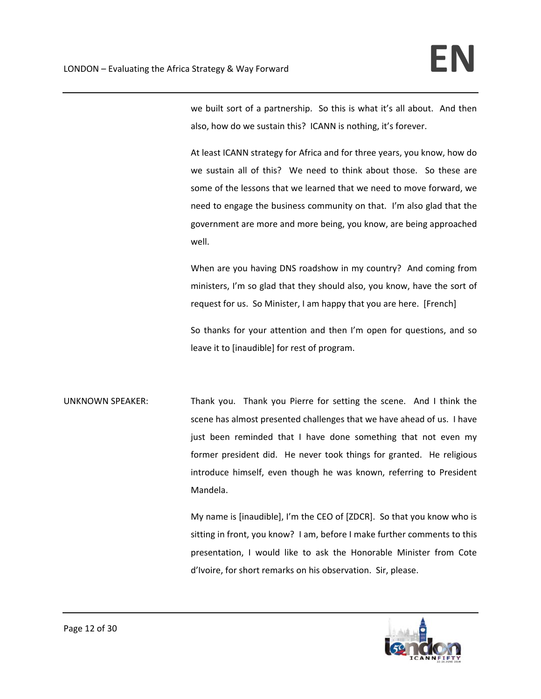we built sort of a partnership. So this is what it's all about. And then also, how do we sustain this? ICANN is nothing, it's forever.

At least ICANN strategy for Africa and for three years, you know, how do we sustain all of this? We need to think about those. So these are some of the lessons that we learned that we need to move forward, we need to engage the business community on that. I'm also glad that the government are more and more being, you know, are being approached well.

When are you having DNS roadshow in my country? And coming from ministers, I'm so glad that they should also, you know, have the sort of request for us. So Minister, I am happy that you are here. [French]

So thanks for your attention and then I'm open for questions, and so leave it to [inaudible] for rest of program.

UNKNOWN SPEAKER: Thank you. Thank you Pierre for setting the scene. And I think the scene has almost presented challenges that we have ahead of us. I have just been reminded that I have done something that not even my former president did. He never took things for granted. He religious introduce himself, even though he was known, referring to President Mandela.

> My name is [inaudible], I'm the CEO of [ZDCR]. So that you know who is sitting in front, you know? I am, before I make further comments to this presentation, I would like to ask the Honorable Minister from Cote d'Ivoire, for short remarks on his observation. Sir, please.

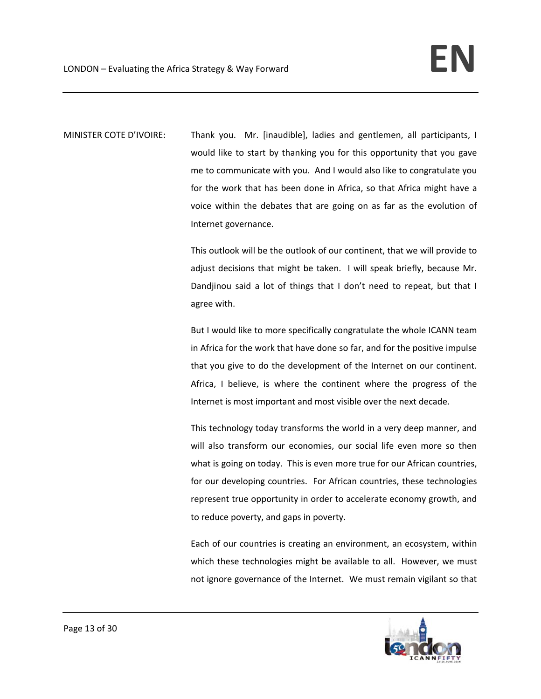MINISTER COTE D'IVOIRE: Thank you. Mr. [inaudible], ladies and gentlemen, all participants, I would like to start by thanking you for this opportunity that you gave me to communicate with you. And I would also like to congratulate you for the work that has been done in Africa, so that Africa might have a voice within the debates that are going on as far as the evolution of Internet governance.

> This outlook will be the outlook of our continent, that we will provide to adjust decisions that might be taken. I will speak briefly, because Mr. Dandjinou said a lot of things that I don't need to repeat, but that I agree with.

> But I would like to more specifically congratulate the whole ICANN team in Africa for the work that have done so far, and for the positive impulse that you give to do the development of the Internet on our continent. Africa, I believe, is where the continent where the progress of the Internet is most important and most visible over the next decade.

> This technology today transforms the world in a very deep manner, and will also transform our economies, our social life even more so then what is going on today. This is even more true for our African countries, for our developing countries. For African countries, these technologies represent true opportunity in order to accelerate economy growth, and to reduce poverty, and gaps in poverty.

> Each of our countries is creating an environment, an ecosystem, within which these technologies might be available to all. However, we must not ignore governance of the Internet. We must remain vigilant so that

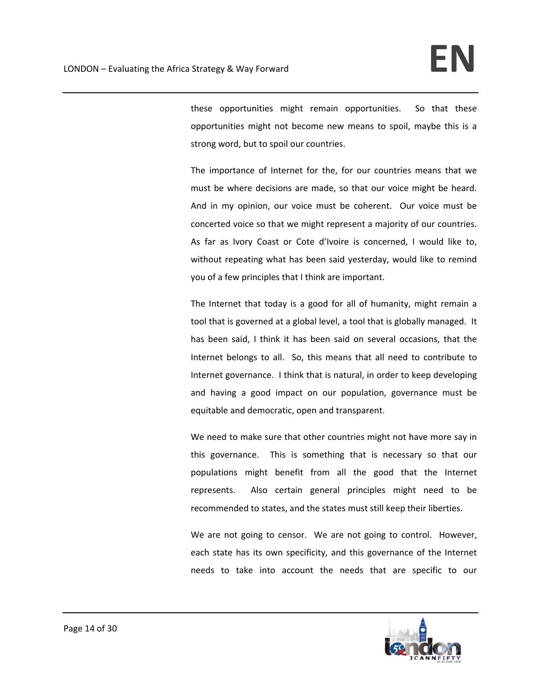these opportunities might remain opportunities. So that these opportunities might not become new means to spoil, maybe this is a strong word, but to spoil our countries.

The importance of Internet for the, for our countries means that we must be where decisions are made, so that our voice might be heard. And in my opinion, our voice must be coherent. Our voice must be concerted voice so that we might represent a majority of our countries. As far as Ivory Coast or Cote d'Ivoire is concerned, I would like to, without repeating what has been said yesterday, would like to remind you of a few principles that I think are important.

The Internet that today is a good for all of humanity, might remain a tool that is governed at a global level, a tool that is globally managed. It has been said, I think it has been said on several occasions, that the Internet belongs to all. So, this means that all need to contribute to Internet governance. I think that is natural, in order to keep developing and having a good impact on our population, governance must be equitable and democratic, open and transparent.

We need to make sure that other countries might not have more say in this governance. This is something that is necessary so that our populations might benefit from all the good that the Internet represents. Also certain general principles might need to be recommended to states, and the states must still keep their liberties.

We are not going to censor. We are not going to control. However, each state has its own specificity, and this governance of the Internet needs to take into account the needs that are specific to our

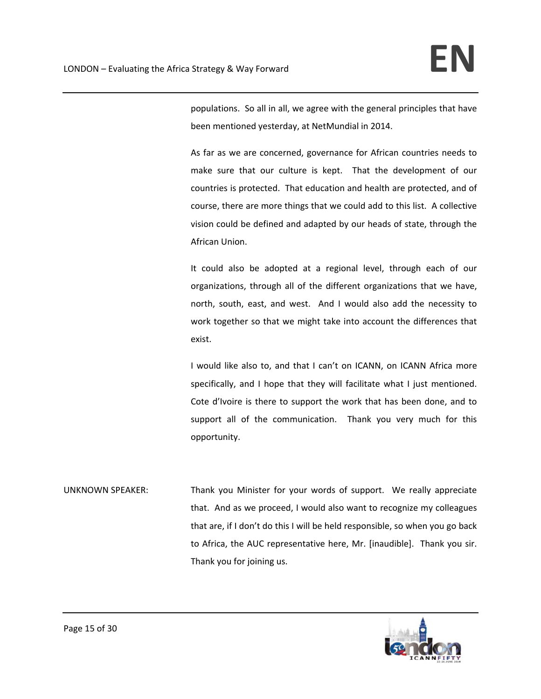populations. So all in all, we agree with the general principles that have been mentioned yesterday, at NetMundial in 2014.

As far as we are concerned, governance for African countries needs to make sure that our culture is kept. That the development of our countries is protected. That education and health are protected, and of course, there are more things that we could add to this list. A collective vision could be defined and adapted by our heads of state, through the African Union.

It could also be adopted at a regional level, through each of our organizations, through all of the different organizations that we have, north, south, east, and west. And I would also add the necessity to work together so that we might take into account the differences that exist.

I would like also to, and that I can't on ICANN, on ICANN Africa more specifically, and I hope that they will facilitate what I just mentioned. Cote d'Ivoire is there to support the work that has been done, and to support all of the communication. Thank you very much for this opportunity.

UNKNOWN SPEAKER: Thank you Minister for your words of support. We really appreciate that. And as we proceed, I would also want to recognize my colleagues that are, if I don't do this I will be held responsible, so when you go back to Africa, the AUC representative here, Mr. [inaudible]. Thank you sir. Thank you for joining us.

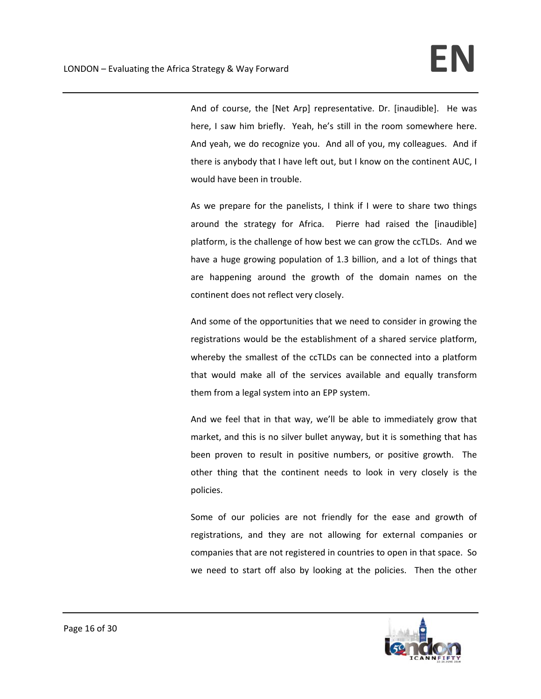And of course, the [Net Arp] representative. Dr. [inaudible]. He was here, I saw him briefly. Yeah, he's still in the room somewhere here. And yeah, we do recognize you. And all of you, my colleagues. And if there is anybody that I have left out, but I know on the continent AUC, I would have been in trouble.

As we prepare for the panelists, I think if I were to share two things around the strategy for Africa. Pierre had raised the [inaudible] platform, is the challenge of how best we can grow the ccTLDs. And we have a huge growing population of 1.3 billion, and a lot of things that are happening around the growth of the domain names on the continent does not reflect very closely.

And some of the opportunities that we need to consider in growing the registrations would be the establishment of a shared service platform, whereby the smallest of the ccTLDs can be connected into a platform that would make all of the services available and equally transform them from a legal system into an EPP system.

And we feel that in that way, we'll be able to immediately grow that market, and this is no silver bullet anyway, but it is something that has been proven to result in positive numbers, or positive growth. The other thing that the continent needs to look in very closely is the policies.

Some of our policies are not friendly for the ease and growth of registrations, and they are not allowing for external companies or companies that are not registered in countries to open in that space. So we need to start off also by looking at the policies. Then the other

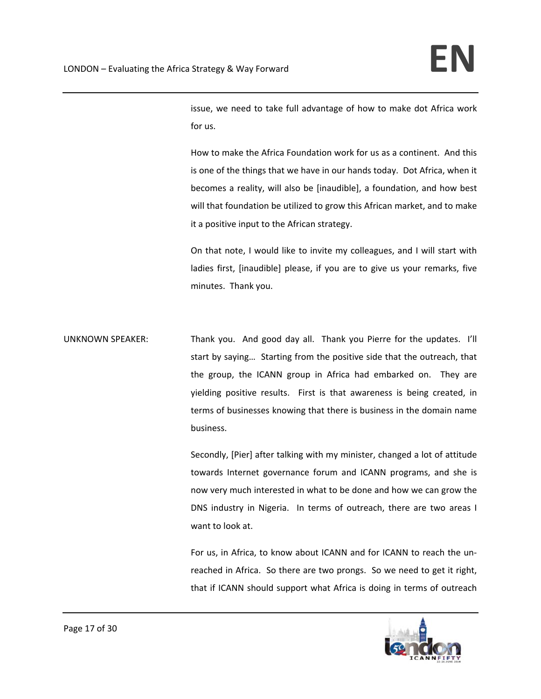issue, we need to take full advantage of how to make dot Africa work for us.

How to make the Africa Foundation work for us as a continent. And this is one of the things that we have in our hands today. Dot Africa, when it becomes a reality, will also be [inaudible], a foundation, and how best will that foundation be utilized to grow this African market, and to make it a positive input to the African strategy.

On that note, I would like to invite my colleagues, and I will start with ladies first, [inaudible] please, if you are to give us your remarks, five minutes. Thank you.

UNKNOWN SPEAKER: Thank you. And good day all. Thank you Pierre for the updates. I'll start by saying… Starting from the positive side that the outreach, that the group, the ICANN group in Africa had embarked on. They are yielding positive results. First is that awareness is being created, in terms of businesses knowing that there is business in the domain name business.

> Secondly, [Pier] after talking with my minister, changed a lot of attitude towards Internet governance forum and ICANN programs, and she is now very much interested in what to be done and how we can grow the DNS industry in Nigeria. In terms of outreach, there are two areas I want to look at.

> For us, in Africa, to know about ICANN and for ICANN to reach the un‐ reached in Africa. So there are two prongs. So we need to get it right, that if ICANN should support what Africa is doing in terms of outreach

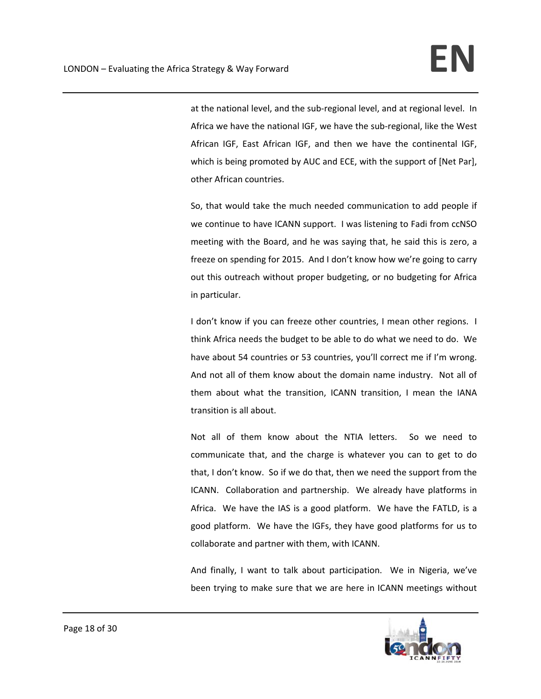at the national level, and the sub‐regional level, and at regional level. In Africa we have the national IGF, we have the sub‐regional, like the West African IGF, East African IGF, and then we have the continental IGF, which is being promoted by AUC and ECE, with the support of [Net Par], other African countries.

So, that would take the much needed communication to add people if we continue to have ICANN support. I was listening to Fadi from ccNSO meeting with the Board, and he was saying that, he said this is zero, a freeze on spending for 2015. And I don't know how we're going to carry out this outreach without proper budgeting, or no budgeting for Africa in particular.

I don't know if you can freeze other countries, I mean other regions. I think Africa needs the budget to be able to do what we need to do. We have about 54 countries or 53 countries, you'll correct me if I'm wrong. And not all of them know about the domain name industry. Not all of them about what the transition, ICANN transition, I mean the IANA transition is all about.

Not all of them know about the NTIA letters. So we need to communicate that, and the charge is whatever you can to get to do that, I don't know. So if we do that, then we need the support from the ICANN. Collaboration and partnership. We already have platforms in Africa. We have the IAS is a good platform. We have the FATLD, is a good platform. We have the IGFs, they have good platforms for us to collaborate and partner with them, with ICANN.

And finally, I want to talk about participation. We in Nigeria, we've been trying to make sure that we are here in ICANN meetings without

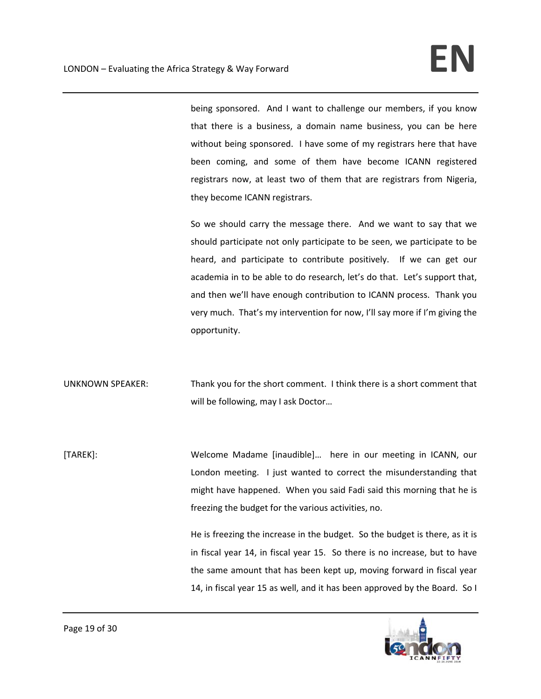being sponsored. And I want to challenge our members, if you know that there is a business, a domain name business, you can be here without being sponsored. I have some of my registrars here that have been coming, and some of them have become ICANN registered registrars now, at least two of them that are registrars from Nigeria, they become ICANN registrars.

So we should carry the message there. And we want to say that we should participate not only participate to be seen, we participate to be heard, and participate to contribute positively. If we can get our academia in to be able to do research, let's do that. Let's support that, and then we'll have enough contribution to ICANN process. Thank you very much. That's my intervention for now, I'll say more if I'm giving the opportunity.

UNKNOWN SPEAKER: Thank you for the short comment. I think there is a short comment that will be following, may I ask Doctor…

[TAREK]: Welcome Madame [inaudible]... here in our meeting in ICANN, our London meeting. I just wanted to correct the misunderstanding that might have happened. When you said Fadi said this morning that he is freezing the budget for the various activities, no.

> He is freezing the increase in the budget. So the budget is there, as it is in fiscal year 14, in fiscal year 15. So there is no increase, but to have the same amount that has been kept up, moving forward in fiscal year 14, in fiscal year 15 as well, and it has been approved by the Board. So I

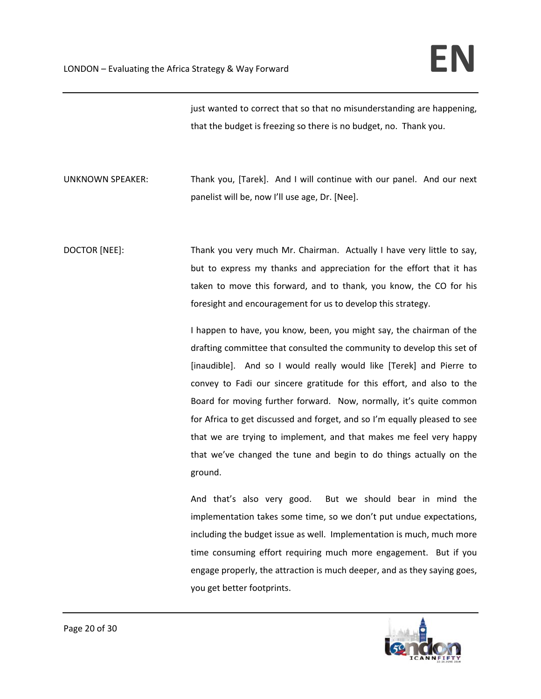just wanted to correct that so that no misunderstanding are happening, that the budget is freezing so there is no budget, no. Thank you.

UNKNOWN SPEAKER: Thank you, [Tarek]. And I will continue with our panel. And our next panelist will be, now I'll use age, Dr. [Nee].

DOCTOR [NEE]: Thank you very much Mr. Chairman. Actually I have very little to say, but to express my thanks and appreciation for the effort that it has taken to move this forward, and to thank, you know, the CO for his foresight and encouragement for us to develop this strategy.

> I happen to have, you know, been, you might say, the chairman of the drafting committee that consulted the community to develop this set of [inaudible]. And so I would really would like [Terek] and Pierre to convey to Fadi our sincere gratitude for this effort, and also to the Board for moving further forward. Now, normally, it's quite common for Africa to get discussed and forget, and so I'm equally pleased to see that we are trying to implement, and that makes me feel very happy that we've changed the tune and begin to do things actually on the ground.

> And that's also very good. But we should bear in mind the implementation takes some time, so we don't put undue expectations, including the budget issue as well. Implementation is much, much more time consuming effort requiring much more engagement. But if you engage properly, the attraction is much deeper, and as they saying goes, you get better footprints.

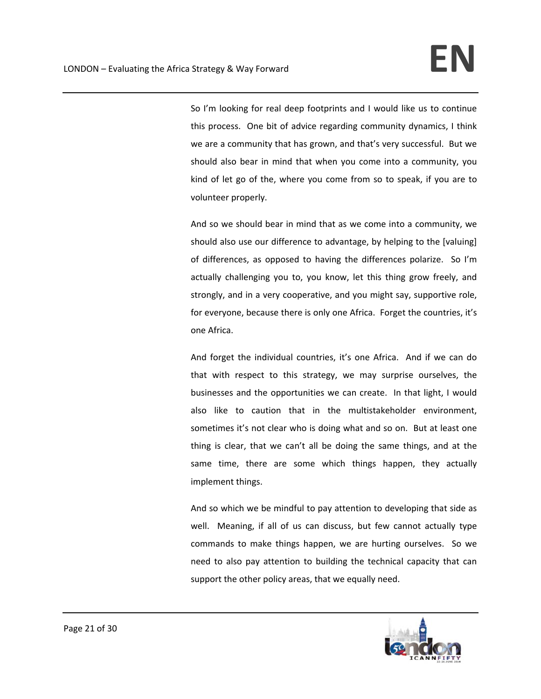So I'm looking for real deep footprints and I would like us to continue this process. One bit of advice regarding community dynamics, I think we are a community that has grown, and that's very successful. But we should also bear in mind that when you come into a community, you kind of let go of the, where you come from so to speak, if you are to volunteer properly.

And so we should bear in mind that as we come into a community, we should also use our difference to advantage, by helping to the [valuing] of differences, as opposed to having the differences polarize. So I'm actually challenging you to, you know, let this thing grow freely, and strongly, and in a very cooperative, and you might say, supportive role, for everyone, because there is only one Africa. Forget the countries, it's one Africa.

And forget the individual countries, it's one Africa. And if we can do that with respect to this strategy, we may surprise ourselves, the businesses and the opportunities we can create. In that light, I would also like to caution that in the multistakeholder environment, sometimes it's not clear who is doing what and so on. But at least one thing is clear, that we can't all be doing the same things, and at the same time, there are some which things happen, they actually implement things.

And so which we be mindful to pay attention to developing that side as well. Meaning, if all of us can discuss, but few cannot actually type commands to make things happen, we are hurting ourselves. So we need to also pay attention to building the technical capacity that can support the other policy areas, that we equally need.

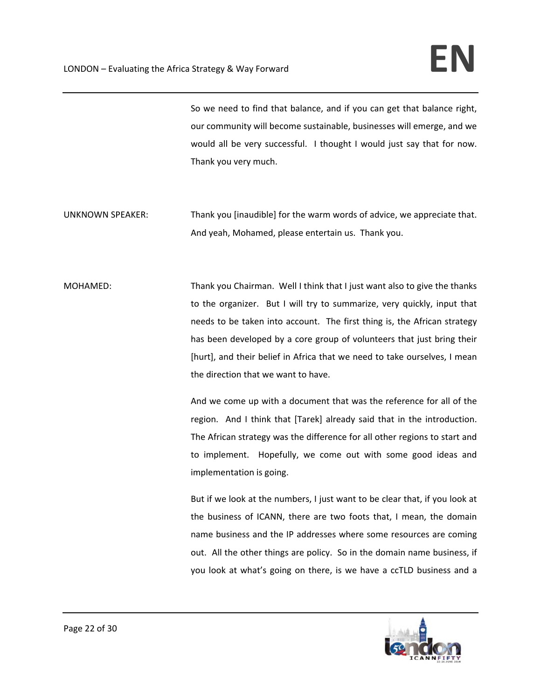So we need to find that balance, and if you can get that balance right, our community will become sustainable, businesses will emerge, and we would all be very successful. I thought I would just say that for now. Thank you very much.

- UNKNOWN SPEAKER: Thank you [inaudible] for the warm words of advice, we appreciate that. And yeah, Mohamed, please entertain us. Thank you.
- MOHAMED: Thank you Chairman. Well I think that I just want also to give the thanks to the organizer. But I will try to summarize, very quickly, input that needs to be taken into account. The first thing is, the African strategy has been developed by a core group of volunteers that just bring their [hurt], and their belief in Africa that we need to take ourselves, I mean the direction that we want to have.

And we come up with a document that was the reference for all of the region. And I think that [Tarek] already said that in the introduction. The African strategy was the difference for all other regions to start and to implement. Hopefully, we come out with some good ideas and implementation is going.

But if we look at the numbers, I just want to be clear that, if you look at the business of ICANN, there are two foots that, I mean, the domain name business and the IP addresses where some resources are coming out. All the other things are policy. So in the domain name business, if you look at what's going on there, is we have a ccTLD business and a

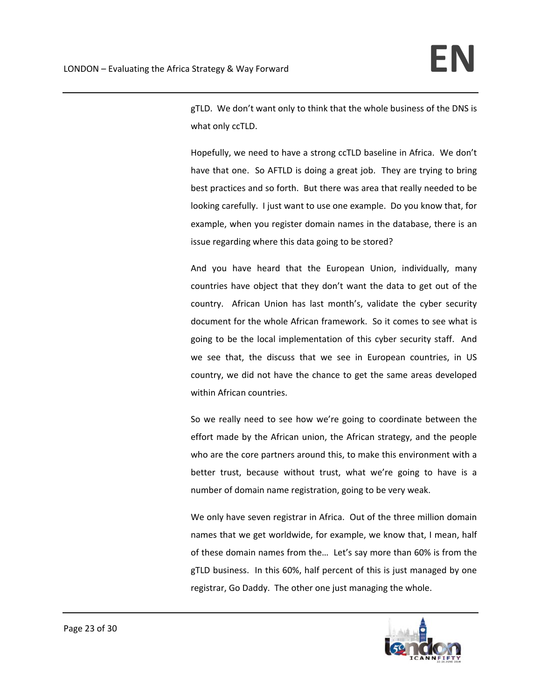gTLD. We don't want only to think that the whole business of the DNS is what only ccTLD.

Hopefully, we need to have a strong ccTLD baseline in Africa. We don't have that one. So AFTLD is doing a great job. They are trying to bring best practices and so forth. But there was area that really needed to be looking carefully. I just want to use one example. Do you know that, for example, when you register domain names in the database, there is an issue regarding where this data going to be stored?

And you have heard that the European Union, individually, many countries have object that they don't want the data to get out of the country. African Union has last month's, validate the cyber security document for the whole African framework. So it comes to see what is going to be the local implementation of this cyber security staff. And we see that, the discuss that we see in European countries, in US country, we did not have the chance to get the same areas developed within African countries.

So we really need to see how we're going to coordinate between the effort made by the African union, the African strategy, and the people who are the core partners around this, to make this environment with a better trust, because without trust, what we're going to have is a number of domain name registration, going to be very weak.

We only have seven registrar in Africa. Out of the three million domain names that we get worldwide, for example, we know that, I mean, half of these domain names from the… Let's say more than 60% is from the gTLD business. In this 60%, half percent of this is just managed by one registrar, Go Daddy. The other one just managing the whole.

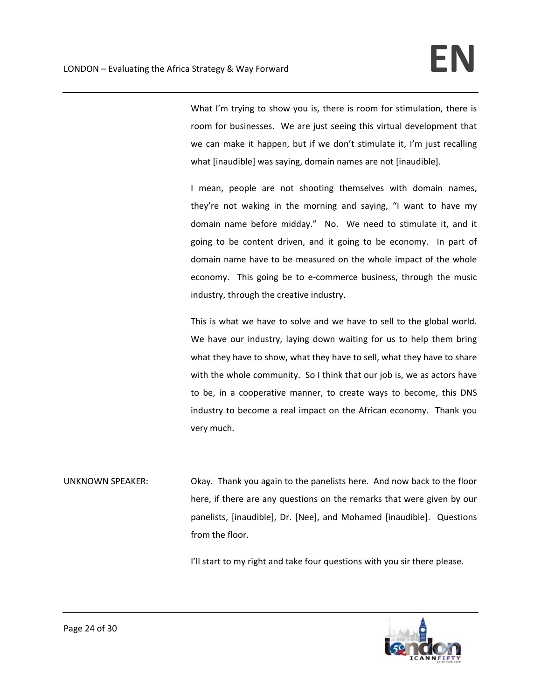What I'm trying to show you is, there is room for stimulation, there is room for businesses. We are just seeing this virtual development that we can make it happen, but if we don't stimulate it, I'm just recalling what [inaudible] was saying, domain names are not [inaudible].

I mean, people are not shooting themselves with domain names, they're not waking in the morning and saying, "I want to have my domain name before midday." No. We need to stimulate it, and it going to be content driven, and it going to be economy. In part of domain name have to be measured on the whole impact of the whole economy. This going be to e-commerce business, through the music industry, through the creative industry.

This is what we have to solve and we have to sell to the global world. We have our industry, laying down waiting for us to help them bring what they have to show, what they have to sell, what they have to share with the whole community. So I think that our job is, we as actors have to be, in a cooperative manner, to create ways to become, this DNS industry to become a real impact on the African economy. Thank you very much.

UNKNOWN SPEAKER: Okay. Thank you again to the panelists here. And now back to the floor here, if there are any questions on the remarks that were given by our panelists, [inaudible], Dr. [Nee], and Mohamed [inaudible]. Questions from the floor.

I'll start to my right and take four questions with you sir there please.

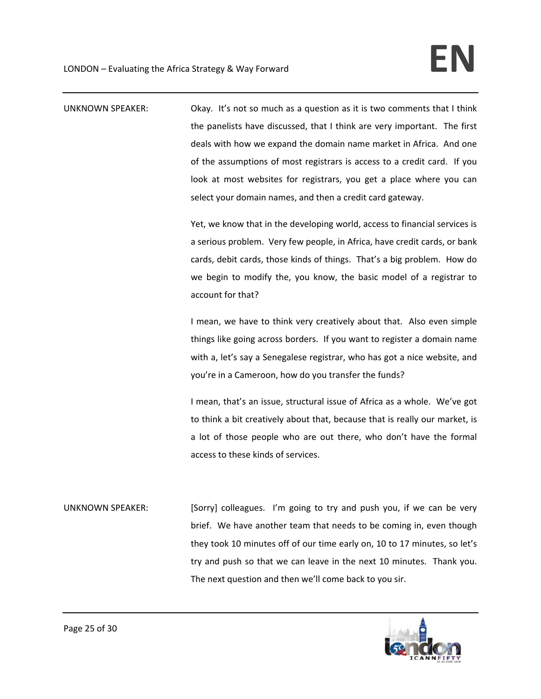UNKNOWN SPEAKER: Okay. It's not so much as a question as it is two comments that I think the panelists have discussed, that I think are very important. The first deals with how we expand the domain name market in Africa. And one of the assumptions of most registrars is access to a credit card. If you look at most websites for registrars, you get a place where you can select your domain names, and then a credit card gateway.

> Yet, we know that in the developing world, access to financial services is a serious problem. Very few people, in Africa, have credit cards, or bank cards, debit cards, those kinds of things. That's a big problem. How do we begin to modify the, you know, the basic model of a registrar to account for that?

> I mean, we have to think very creatively about that. Also even simple things like going across borders. If you want to register a domain name with a, let's say a Senegalese registrar, who has got a nice website, and you're in a Cameroon, how do you transfer the funds?

> I mean, that's an issue, structural issue of Africa as a whole. We've got to think a bit creatively about that, because that is really our market, is a lot of those people who are out there, who don't have the formal access to these kinds of services.

UNKNOWN SPEAKER: [Sorry] colleagues. I'm going to try and push you, if we can be very brief. We have another team that needs to be coming in, even though they took 10 minutes off of our time early on, 10 to 17 minutes, so let's try and push so that we can leave in the next 10 minutes. Thank you. The next question and then we'll come back to you sir.

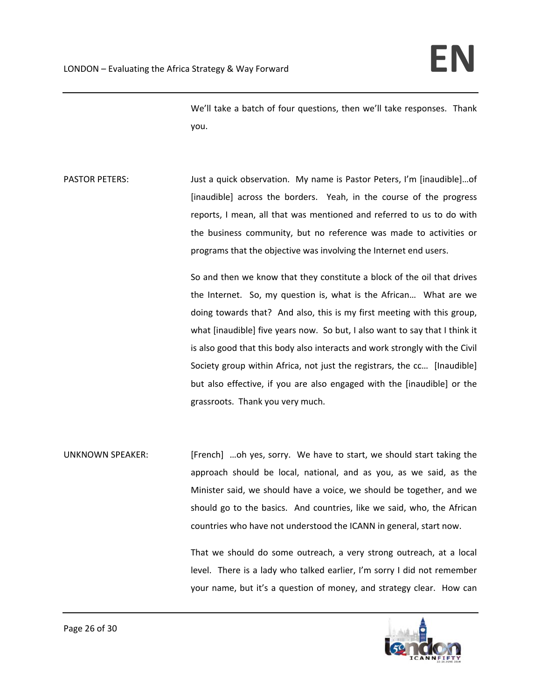We'll take a batch of four questions, then we'll take responses. Thank you.

PASTOR PETERS: Just a quick observation. My name is Pastor Peters, I'm [inaudible]...of [inaudible] across the borders. Yeah, in the course of the progress reports, I mean, all that was mentioned and referred to us to do with the business community, but no reference was made to activities or programs that the objective was involving the Internet end users.

> So and then we know that they constitute a block of the oil that drives the Internet. So, my question is, what is the African... What are we doing towards that? And also, this is my first meeting with this group, what [inaudible] five years now. So but, I also want to say that I think it is also good that this body also interacts and work strongly with the Civil Society group within Africa, not just the registrars, the cc… [Inaudible] but also effective, if you are also engaged with the [inaudible] or the grassroots. Thank you very much.

UNKNOWN SPEAKER: [French] ...oh yes, sorry. We have to start, we should start taking the approach should be local, national, and as you, as we said, as the Minister said, we should have a voice, we should be together, and we should go to the basics. And countries, like we said, who, the African countries who have not understood the ICANN in general, start now.

> That we should do some outreach, a very strong outreach, at a local level. There is a lady who talked earlier, I'm sorry I did not remember your name, but it's a question of money, and strategy clear. How can

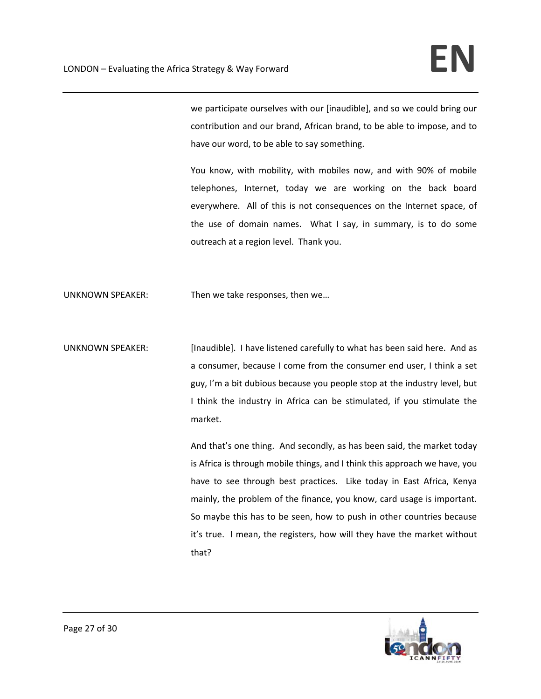we participate ourselves with our [inaudible], and so we could bring our contribution and our brand, African brand, to be able to impose, and to have our word, to be able to say something.

You know, with mobility, with mobiles now, and with 90% of mobile telephones, Internet, today we are working on the back board everywhere. All of this is not consequences on the Internet space, of the use of domain names. What I say, in summary, is to do some outreach at a region level. Thank you.

UNKNOWN SPEAKER: Then we take responses, then we…

UNKNOWN SPEAKER: [Inaudible]. I have listened carefully to what has been said here. And as a consumer, because I come from the consumer end user, I think a set guy, I'm a bit dubious because you people stop at the industry level, but I think the industry in Africa can be stimulated, if you stimulate the market.

> And that's one thing. And secondly, as has been said, the market today is Africa is through mobile things, and I think this approach we have, you have to see through best practices. Like today in East Africa, Kenya mainly, the problem of the finance, you know, card usage is important. So maybe this has to be seen, how to push in other countries because it's true. I mean, the registers, how will they have the market without that?

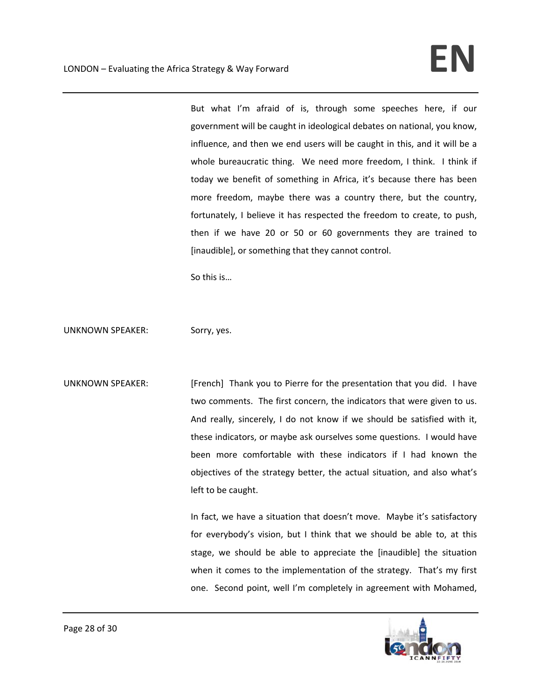But what I'm afraid of is, through some speeches here, if our government will be caught in ideological debates on national, you know, influence, and then we end users will be caught in this, and it will be a whole bureaucratic thing. We need more freedom, I think. I think if today we benefit of something in Africa, it's because there has been more freedom, maybe there was a country there, but the country, fortunately, I believe it has respected the freedom to create, to push, then if we have 20 or 50 or 60 governments they are trained to [inaudible], or something that they cannot control.

So this is…

UNKNOWN SPEAKER: Sorry, yes.

UNKNOWN SPEAKER: [French] Thank you to Pierre for the presentation that you did. I have two comments. The first concern, the indicators that were given to us. And really, sincerely, I do not know if we should be satisfied with it, these indicators, or maybe ask ourselves some questions. I would have been more comfortable with these indicators if I had known the objectives of the strategy better, the actual situation, and also what's left to be caught.

> In fact, we have a situation that doesn't move. Maybe it's satisfactory for everybody's vision, but I think that we should be able to, at this stage, we should be able to appreciate the [inaudible] the situation when it comes to the implementation of the strategy. That's my first one. Second point, well I'm completely in agreement with Mohamed,

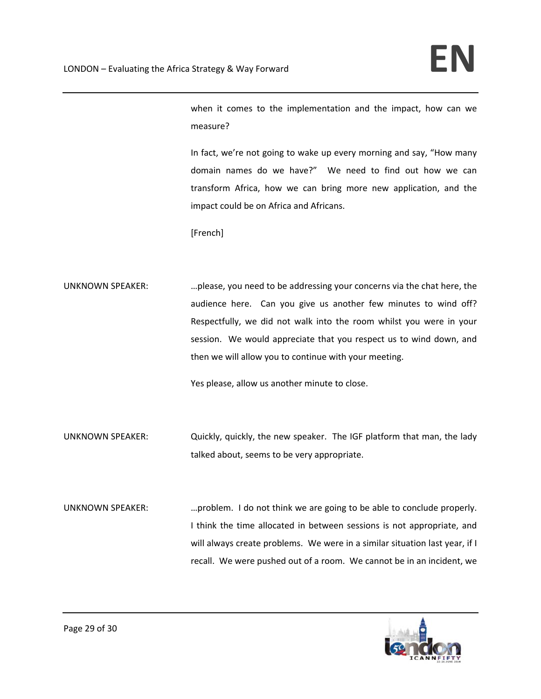when it comes to the implementation and the impact, how can we measure?

In fact, we're not going to wake up every morning and say, "How many domain names do we have?" We need to find out how we can transform Africa, how we can bring more new application, and the impact could be on Africa and Africans.

[French]

UNKNOWN SPEAKER: …please, you need to be addressing your concerns via the chat here, the audience here. Can you give us another few minutes to wind off? Respectfully, we did not walk into the room whilst you were in your session. We would appreciate that you respect us to wind down, and then we will allow you to continue with your meeting.

Yes please, allow us another minute to close.

- UNKNOWN SPEAKER: Quickly, quickly, the new speaker. The IGF platform that man, the lady talked about, seems to be very appropriate.
- UNKNOWN SPEAKER: …problem. I do not think we are going to be able to conclude properly. I think the time allocated in between sessions is not appropriate, and will always create problems. We were in a similar situation last year, if I recall. We were pushed out of a room. We cannot be in an incident, we